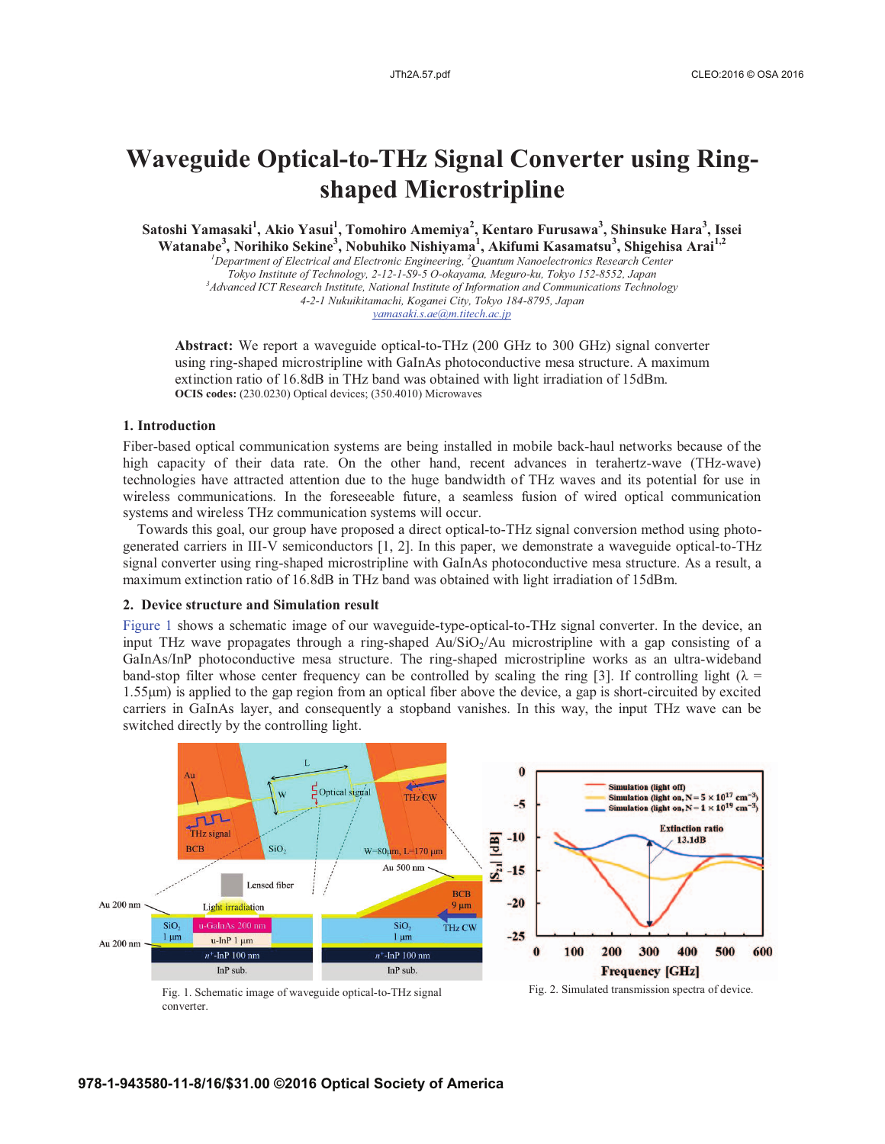# **Waveguide Optical-to-THz Signal Converter using Ringshaped Microstripline**

**Satoshi Yamasaki<sup>1</sup> , Akio Yasui<sup>1</sup> , Tomohiro Amemiya<sup>2</sup> , Kentaro Furusawa3 , Shinsuke Hara<sup>3</sup> , Issei Watanabe<sup>3</sup> , Norihiko Sekine<sup>3</sup> , Nobuhiko Nishiyama<sup>1</sup> , Akifumi Kasamatsu<sup>3</sup> , Shigehisa Arai1,2** *<sup>1</sup>*

*Department of Electrical and Electronic Engineering, 2 Quantum Nanoelectronics Research Center Tokyo Institute of Technology, 2-12-1-S9-5 O-okayama, Meguro-ku, Tokyo 152-8552, Japan 3 Advanced ICT Research Institute, National Institute of Information and Communications Technology 4-2-1 Nukuikitamachi, Koganei City, Tokyo 184-8795, Japan yamasaki.s.ae@m.titech.ac.jp*

**Abstract:** We report a waveguide optical-to-THz (200 GHz to 300 GHz) signal converter using ring-shaped microstripline with GaInAs photoconductive mesa structure. A maximum extinction ratio of 16.8dB in THz band was obtained with light irradiation of 15dBm. **OCIS codes:** (230.0230) Optical devices; (350.4010) Microwaves

# **1. Introduction**

Fiber-based optical communication systems are being installed in mobile back-haul networks because of the high capacity of their data rate. On the other hand, recent advances in terahertz-wave (THz-wave) technologies have attracted attention due to the huge bandwidth of THz waves and its potential for use in wireless communications. In the foreseeable future, a seamless fusion of wired optical communication systems and wireless THz communication systems will occur.

Towards this goal, our group have proposed a direct optical-to-THz signal conversion method using photogenerated carriers in III-V semiconductors [1, 2]. In this paper, we demonstrate a waveguide optical-to-THz signal converter using ring-shaped microstripline with GaInAs photoconductive mesa structure. As a result, a maximum extinction ratio of 16.8dB in THz band was obtained with light irradiation of 15dBm.

### **2. Device structure and Simulation result**

Figure 1 shows a schematic image of our waveguide-type-optical-to-THz signal converter. In the device, an input THz wave propagates through a ring-shaped Au/SiO<sub>2</sub>/Au microstripline with a gap consisting of a GaInAs/InP photoconductive mesa structure. The ring-shaped microstripline works as an ultra-wideband band-stop filter whose center frequency can be controlled by scaling the ring [3]. If controlling light ( $\lambda$  = 1.55μm) is applied to the gap region from an optical fiber above the device, a gap is short-circuited by excited carriers in GaInAs layer, and consequently a stopband vanishes. In this way, the input THz wave can be switched directly by the controlling light.



converter.

Fig. 2. Simulated transmission spectra of device.